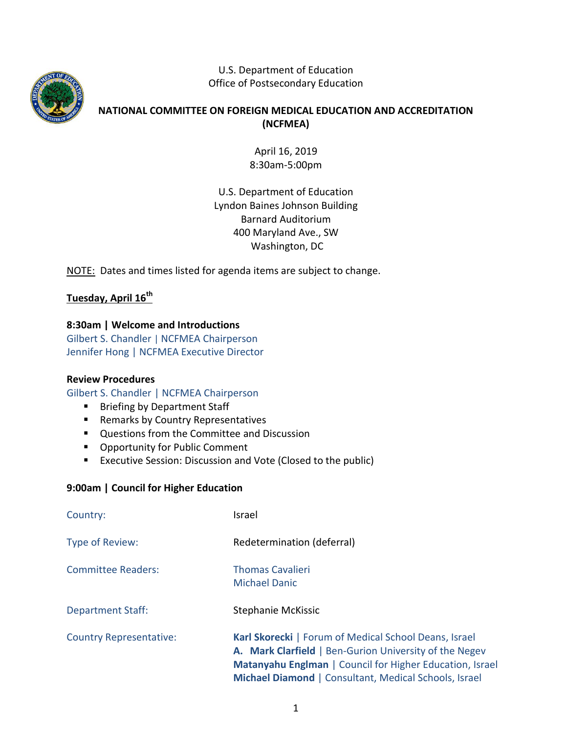

U.S. Department of Education Office of Postsecondary Education

# **NATIONAL COMMITTEE ON FOREIGN MEDICAL EDUCATION AND ACCREDITATION (NCFMEA)**

April 16, 2019 8:30am-5:00pm

U.S. Department of Education Lyndon Baines Johnson Building Barnard Auditorium 400 Maryland Ave., SW Washington, DC

NOTE: Dates and times listed for agenda items are subject to change.

# **Tuesday, April 16th**

## **8:30am | Welcome and Introductions**

Gilbert S. Chandler | NCFMEA Chairperson Jennifer Hong | NCFMEA Executive Director

## **Review Procedures**

Gilbert S. Chandler | NCFMEA Chairperson

- **Briefing by Department Staff**
- **Remarks by Country Representatives**
- **Questions from the Committee and Discussion**
- **•** Opportunity for Public Comment
- **EXECUTE:** Executive Session: Discussion and Vote (Closed to the public)

## **9:00am | Council for Higher Education**

| Country:                       | Israel                                                                                                                                                                                                                               |
|--------------------------------|--------------------------------------------------------------------------------------------------------------------------------------------------------------------------------------------------------------------------------------|
| Type of Review:                | Redetermination (deferral)                                                                                                                                                                                                           |
| <b>Committee Readers:</b>      | <b>Thomas Cavalieri</b><br><b>Michael Danic</b>                                                                                                                                                                                      |
| <b>Department Staff:</b>       | <b>Stephanie McKissic</b>                                                                                                                                                                                                            |
| <b>Country Representative:</b> | Karl Skorecki   Forum of Medical School Deans, Israel<br>A. Mark Clarfield   Ben-Gurion University of the Negev<br>Matanyahu Englman   Council for Higher Education, Israel<br>Michael Diamond   Consultant, Medical Schools, Israel |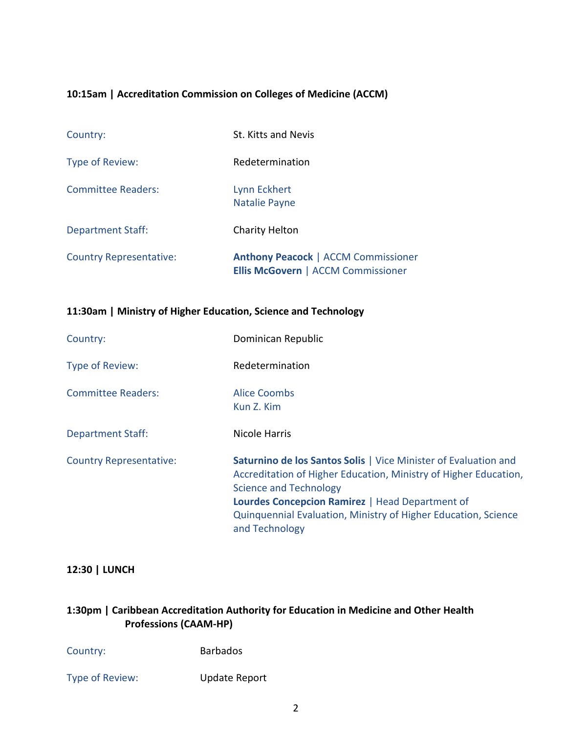## **10:15am | Accreditation Commission on Colleges of Medicine (ACCM)**

| Country:                       | St. Kitts and Nevis                                                                     |
|--------------------------------|-----------------------------------------------------------------------------------------|
| Type of Review:                | Redetermination                                                                         |
| <b>Committee Readers:</b>      | Lynn Eckhert<br><b>Natalie Payne</b>                                                    |
| <b>Department Staff:</b>       | Charity Helton                                                                          |
| <b>Country Representative:</b> | <b>Anthony Peacock   ACCM Commissioner</b><br><b>Ellis McGovern   ACCM Commissioner</b> |

#### **11:30am | Ministry of Higher Education, Science and Technology**

| Country:                       | Dominican Republic                                                                                                                                                                                                                                                                                                 |
|--------------------------------|--------------------------------------------------------------------------------------------------------------------------------------------------------------------------------------------------------------------------------------------------------------------------------------------------------------------|
| Type of Review:                | Redetermination                                                                                                                                                                                                                                                                                                    |
| <b>Committee Readers:</b>      | Alice Coombs<br>Kun Z. Kim                                                                                                                                                                                                                                                                                         |
| <b>Department Staff:</b>       | Nicole Harris                                                                                                                                                                                                                                                                                                      |
| <b>Country Representative:</b> | <b>Saturnino de los Santos Solis   Vice Minister of Evaluation and</b><br>Accreditation of Higher Education, Ministry of Higher Education,<br><b>Science and Technology</b><br>Lourdes Concepcion Ramirez   Head Department of<br>Quinquennial Evaluation, Ministry of Higher Education, Science<br>and Technology |

#### **12:30 | LUNCH**

# **1:30pm | Caribbean [Accreditation](http://caam-hp.org/) Authority for Education in Medicine and Other Health [Professions](http://caam-hp.org/) (CAAM-HP)**

Country: Barbados

Type of Review: Update Report